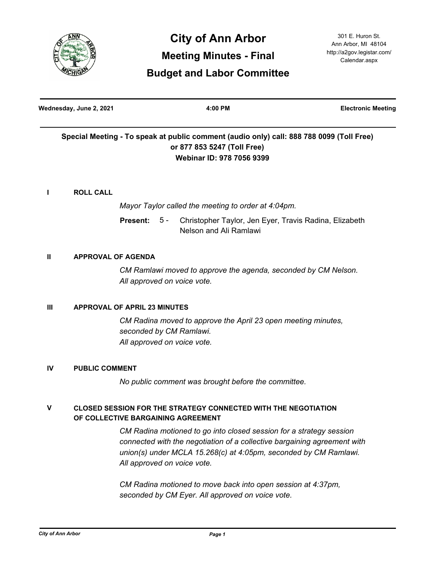

| Wednesday, June 2, 2021 | $4:00$ PM                                                                                | <b>Electronic Meeting</b> |
|-------------------------|------------------------------------------------------------------------------------------|---------------------------|
|                         | Special Meeting - To speak at public comment (audio only) call: 888 788 0099 (Toll Free) |                           |
|                         | or 877 853 5247 (Toll Free)                                                              |                           |
|                         | Webinar ID: 978 7056 9399                                                                |                           |
|                         |                                                                                          |                           |
| <b>ROLL CALL</b>        |                                                                                          |                           |

*Mayor Taylor called the meeting to order at 4:04pm.*

Christopher Taylor, Jen Eyer, Travis Radina, Elizabeth Nelson and Ali Ramlawi **Present:** 5 -

# **II APPROVAL OF AGENDA**

*CM Ramlawi moved to approve the agenda, seconded by CM Nelson. All approved on voice vote.*

# **III APPROVAL OF APRIL 23 MINUTES**

*CM Radina moved to approve the April 23 open meeting minutes, seconded by CM Ramlawi. All approved on voice vote.*

# **IV PUBLIC COMMENT**

*No public comment was brought before the committee.*

#### **CLOSED SESSION FOR THE STRATEGY CONNECTED WITH THE NEGOTIATION OF COLLECTIVE BARGAINING AGREEMENT V**

*CM Radina motioned to go into closed session for a strategy session connected with the negotiation of a collective bargaining agreement with union(s) under MCLA 15.268(c) at 4:05pm, seconded by CM Ramlawi. All approved on voice vote.*

*CM Radina motioned to move back into open session at 4:37pm, seconded by CM Eyer. All approved on voice vote.*